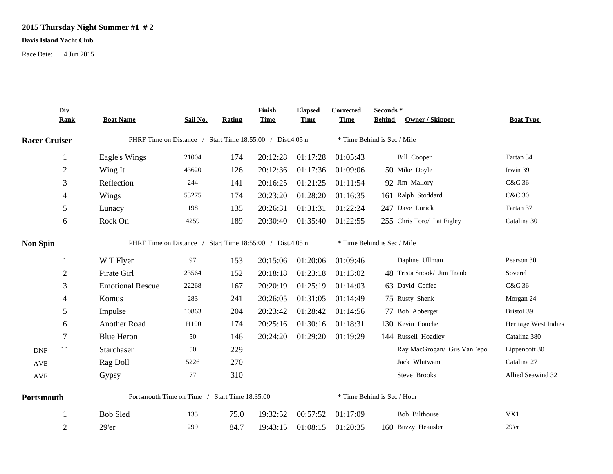## **2015 Thursday Night Summer #1 # 2**

## **Davis Island Yacht Club**

Race Date: 4 Jun 2015

|                      | Div<br><b>Rank</b> | <b>Boat Name</b>                                          | Sail No.         | <b>Rating</b> | Finish<br><b>Time</b> | <b>Elapsed</b><br><b>Time</b> | Corrected<br><b>Time</b>    | Seconds*<br><b>Owner / Skipper</b><br><b>Behind</b> | <b>Boat Type</b>     |  |  |  |
|----------------------|--------------------|-----------------------------------------------------------|------------------|---------------|-----------------------|-------------------------------|-----------------------------|-----------------------------------------------------|----------------------|--|--|--|
| <b>Racer Cruiser</b> |                    | PHRF Time on Distance / Start Time 18:55:00 / Dist.4.05 n |                  |               |                       |                               | * Time Behind is Sec / Mile |                                                     |                      |  |  |  |
|                      | 1                  | Eagle's Wings                                             | 21004            | 174           | 20:12:28              | 01:17:28                      | 01:05:43                    | <b>Bill Cooper</b>                                  | Tartan 34            |  |  |  |
|                      | $\overline{c}$     | Wing It                                                   | 43620            | 126           | 20:12:36              | 01:17:36                      | 01:09:06                    | 50 Mike Doyle                                       | Irwin 39             |  |  |  |
|                      | 3                  | Reflection                                                | 244              | 141           | 20:16:25              | 01:21:25                      | 01:11:54                    | 92 Jim Mallory                                      | C&C 36               |  |  |  |
|                      | 4                  | Wings                                                     | 53275            | 174           | 20:23:20              | 01:28:20                      | 01:16:35                    | 161 Ralph Stoddard                                  | <b>C&amp;C 30</b>    |  |  |  |
|                      | 5                  | Lunacy                                                    | 198              | 135           | 20:26:31              | 01:31:31                      | 01:22:24                    | 247 Dave Lorick                                     | Tartan 37            |  |  |  |
|                      | 6                  | Rock On                                                   | 4259             | 189           | 20:30:40              | 01:35:40                      | 01:22:55                    | 255 Chris Toro/ Pat Figley                          | Catalina 30          |  |  |  |
| <b>Non Spin</b>      |                    | PHRF Time on Distance / Start Time 18:55:00 / Dist.4.05 n |                  |               |                       |                               |                             | * Time Behind is Sec / Mile                         |                      |  |  |  |
|                      | 1                  | W T Flyer                                                 | 97               | 153           | 20:15:06              | 01:20:06                      | 01:09:46                    | Daphne Ullman                                       | Pearson 30           |  |  |  |
|                      | $\overline{c}$     | Pirate Girl                                               | 23564            | 152           | 20:18:18              | 01:23:18                      | 01:13:02                    | 48 Trista Snook/ Jim Traub                          | Soverel              |  |  |  |
|                      | 3                  | <b>Emotional Rescue</b>                                   | 22268            | 167           | 20:20:19              | 01:25:19                      | 01:14:03                    | 63 David Coffee                                     | C&C 36               |  |  |  |
|                      | 4                  | Komus                                                     | 283              | 241           | 20:26:05              | 01:31:05                      | 01:14:49                    | 75 Rusty Shenk                                      | Morgan 24            |  |  |  |
|                      | 5                  | Impulse                                                   | 10863            | 204           | 20:23:42              | 01:28:42                      | 01:14:56                    | 77 Bob Abberger                                     | Bristol 39           |  |  |  |
|                      | 6                  | Another Road                                              | H <sub>100</sub> | 174           | 20:25:16              | 01:30:16                      | 01:18:31                    | 130 Kevin Fouche                                    | Heritage West Indies |  |  |  |
|                      | 7                  | <b>Blue Heron</b>                                         | 50               | 146           | 20:24:20              | 01:29:20                      | 01:19:29                    | 144 Russell Hoadley                                 | Catalina 380         |  |  |  |
| <b>DNF</b>           | 11                 | Starchaser                                                | 50               | 229           |                       |                               |                             | Ray MacGrogan/ Gus VanEepo                          | Lippencott 30        |  |  |  |
| $\operatorname{AVE}$ |                    | Rag Doll                                                  | 5226             | 270           |                       |                               |                             | Jack Whitwam                                        | Catalina 27          |  |  |  |
| AVE                  |                    | Gypsy                                                     | 77               | 310           |                       |                               |                             | Steve Brooks                                        | Allied Seawind 32    |  |  |  |
| Portsmouth           |                    | Portsmouth Time on Time / Start Time 18:35:00             |                  |               |                       |                               |                             | * Time Behind is Sec / Hour                         |                      |  |  |  |
|                      | 1                  | <b>Bob Sled</b>                                           | 135              | 75.0          | 19:32:52              | 00:57:52                      | 01:17:09                    | Bob Bilthouse                                       | VX1                  |  |  |  |
|                      | $\overline{2}$     | 29'er                                                     | 299              | 84.7          | 19:43:15              | 01:08:15                      | 01:20:35                    | 160 Buzzy Heausler                                  | 29'er                |  |  |  |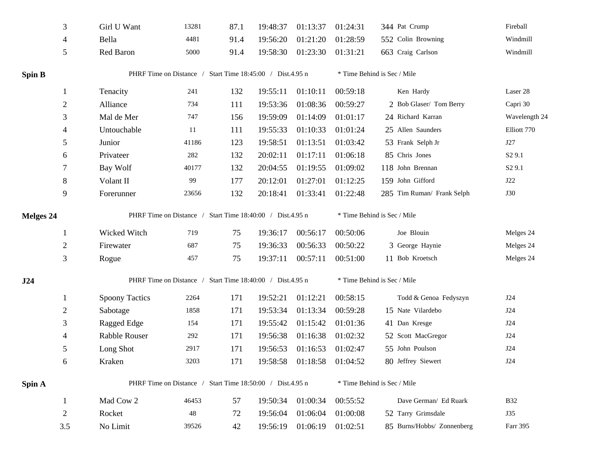|                  | 3              | Girl U Want                                               | 13281 | 87.1 | 19:48:37 | 01:13:37 | 01:24:31                    | 344 Pat Crump               | Fireball           |  |  |
|------------------|----------------|-----------------------------------------------------------|-------|------|----------|----------|-----------------------------|-----------------------------|--------------------|--|--|
|                  | 4              | Bella                                                     | 4481  | 91.4 | 19:56:20 | 01:21:20 | 01:28:59                    | 552 Colin Browning          | Windmill           |  |  |
|                  | $\mathfrak{S}$ | Red Baron                                                 | 5000  | 91.4 | 19:58:30 | 01:23:30 | 01:31:21                    | 663 Craig Carlson           | Windmill           |  |  |
| Spin B           |                | PHRF Time on Distance / Start Time 18:45:00 / Dist.4.95 n |       |      |          |          | * Time Behind is Sec / Mile |                             |                    |  |  |
|                  | -1             | Tenacity                                                  | 241   | 132  | 19:55:11 | 01:10:11 | 00:59:18                    | Ken Hardy                   | Laser 28           |  |  |
|                  | $\overline{2}$ | Alliance                                                  | 734   | 111  | 19:53:36 | 01:08:36 | 00:59:27                    | 2 Bob Glaser/ Tom Berry     | Capri 30           |  |  |
|                  | 3              | Mal de Mer                                                | 747   | 156  | 19:59:09 | 01:14:09 | 01:01:17                    | 24 Richard Karran           | Wavelength 24      |  |  |
|                  | 4              | Untouchable                                               | 11    | 111  | 19:55:33 | 01:10:33 | 01:01:24                    | 25 Allen Saunders           | Elliott 770        |  |  |
|                  | 5              | Junior                                                    | 41186 | 123  | 19:58:51 | 01:13:51 | 01:03:42                    | 53 Frank Selph Jr           | J27                |  |  |
|                  | 6              | Privateer                                                 | 282   | 132  | 20:02:11 | 01:17:11 | 01:06:18                    | 85 Chris Jones              | S <sub>2</sub> 9.1 |  |  |
|                  | 7              | Bay Wolf                                                  | 40177 | 132  | 20:04:55 | 01:19:55 | 01:09:02                    | 118 John Brennan            | S <sub>2</sub> 9.1 |  |  |
|                  | $8\,$          | Volant II                                                 | 99    | 177  | 20:12:01 | 01:27:01 | 01:12:25                    | 159 John Gifford            | J22                |  |  |
|                  | 9              | Forerunner                                                | 23656 | 132  | 20:18:41 | 01:33:41 | 01:22:48                    | 285 Tim Ruman/ Frank Selph  | <b>J30</b>         |  |  |
| <b>Melges 24</b> |                | PHRF Time on Distance / Start Time 18:40:00 / Dist.4.95 n |       |      |          |          | * Time Behind is Sec / Mile |                             |                    |  |  |
|                  | -1             | Wicked Witch                                              | 719   | 75   | 19:36:17 | 00:56:17 | 00:50:06                    | Joe Blouin                  | Melges 24          |  |  |
|                  | $\overline{2}$ | Firewater                                                 | 687   | 75   | 19:36:33 | 00:56:33 | 00:50:22                    | 3 George Haynie             | Melges 24          |  |  |
|                  | $\mathfrak{Z}$ | Rogue                                                     | 457   | 75   | 19:37:11 | 00:57:11 | 00:51:00                    | 11 Bob Kroetsch             | Melges 24          |  |  |
| J24              |                | PHRF Time on Distance / Start Time 18:40:00 / Dist.4.95 n |       |      |          |          |                             | * Time Behind is Sec / Mile |                    |  |  |
|                  | -1             | <b>Spoony Tactics</b>                                     | 2264  | 171  | 19:52:21 | 01:12:21 | 00:58:15                    | Todd & Genoa Fedyszyn       | J24                |  |  |
|                  | $\overline{2}$ | Sabotage                                                  | 1858  | 171  | 19:53:34 | 01:13:34 | 00:59:28                    | 15 Nate Vilardebo           | J24                |  |  |
|                  | 3              | Ragged Edge                                               | 154   | 171  | 19:55:42 | 01:15:42 | 01:01:36                    | 41 Dan Kresge               | J24                |  |  |
|                  | $\overline{4}$ | Rabble Rouser                                             | 292   | 171  | 19:56:38 | 01:16:38 | 01:02:32                    | 52 Scott MacGregor          | J24                |  |  |
|                  | 5              | Long Shot                                                 | 2917  | 171  | 19:56:53 | 01:16:53 | 01:02:47                    | 55 John Poulson             | J24                |  |  |
|                  | 6              | Kraken                                                    | 3203  | 171  | 19:58:58 | 01:18:58 | 01:04:52                    | 80 Jeffrey Siewert          | J24                |  |  |
| Spin A           |                | PHRF Time on Distance / Start Time 18:50:00 / Dist.4.95 n |       |      |          |          |                             | * Time Behind is Sec / Mile |                    |  |  |
|                  | $\mathbf{1}$   | Mad Cow 2                                                 | 46453 | 57   | 19:50:34 | 01:00:34 | 00:55:52                    | Dave German/ Ed Ruark       | <b>B32</b>         |  |  |
|                  | $\overline{2}$ | Rocket                                                    | 48    | 72   | 19:56:04 | 01:06:04 | 01:00:08                    | 52 Tarry Grimsdale          | J35                |  |  |
|                  | 3.5            | No Limit                                                  | 39526 | 42   | 19:56:19 | 01:06:19 | 01:02:51                    | 85 Burns/Hobbs/ Zonnenberg  | Farr 395           |  |  |